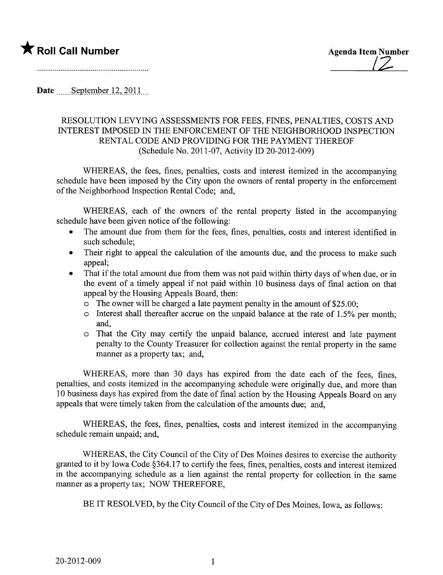

Date September  $12,2011$ 

## RESOLUTION LEVYING ASSESSMENTS FOR FEES, FINES, PENALTIES, COSTS AND INTEREST IMPOSED IN THE ENFORCEMENT OF THE NEIGHBORHOOD INSPECTION RENTAL CODE AND PROVIDING FOR THE PAYMENT THEREOF (Schedule No. 2011-07, Activity ID 20-2012-009)

WHEREAS, the fees, fines, penalties, costs and interest itemized in the accompanying schedule have been imposed by the City upon the owners of rental property in the enforcement of the Neighborhood Inspection Rental Code; and,

WHEREAS, each of the owners of the rental property listed in the accompanying schedule have been given notice of the following:

- . The amount due from them for the fees, fines, penalties, costs and interest identified in such schedule;
- Their right to appeal the calculation of the amounts due, and the process to make such appeal;
- That if the total amount due from them was not paid within thirty days of when due, or in the event of a timely appeal if not paid within 10 business days of final action on that appeal by the Housing Appeals Board, then:
	- $\circ$  The owner will be charged a late payment penalty in the amount of \$25.00;
	- o Interest shall thereafter accrue on the unpaid balance at the rate of 1.5% per month; and,
	- o That the City may certify the unpaid balance, accrued interest and late payment penalty to the County Treasurer for collection against the rental property in the same manner as a property tax; and,

WHEREAS, more than 30 days has expired from the date each of the fees, fines, penalties, and costs itemized in the accompanying schedule were originally due, and more than 10 business days has expired from the date of final action by the Housing Appeals Board on any appeals that were timely taken from the calculation of the amounts due; and,

WHEREAS, the fees, fines, penalties, costs and interest itemized in the accompanying schedule remain unpaid; and,

WHEREAS, the City Council of the City of Des Moines desires to exercise the authority granted to it by Iowa Code §364.17 to certify the fees, fines, penalties, costs and interest itemized in the accompanying schedule as a lien against the rental property for collection in the same manner as a property tax; NOW THEREFORE,

BE IT RESOLVED, by the City Council of the City of Des Moines, Iowa, as follows: